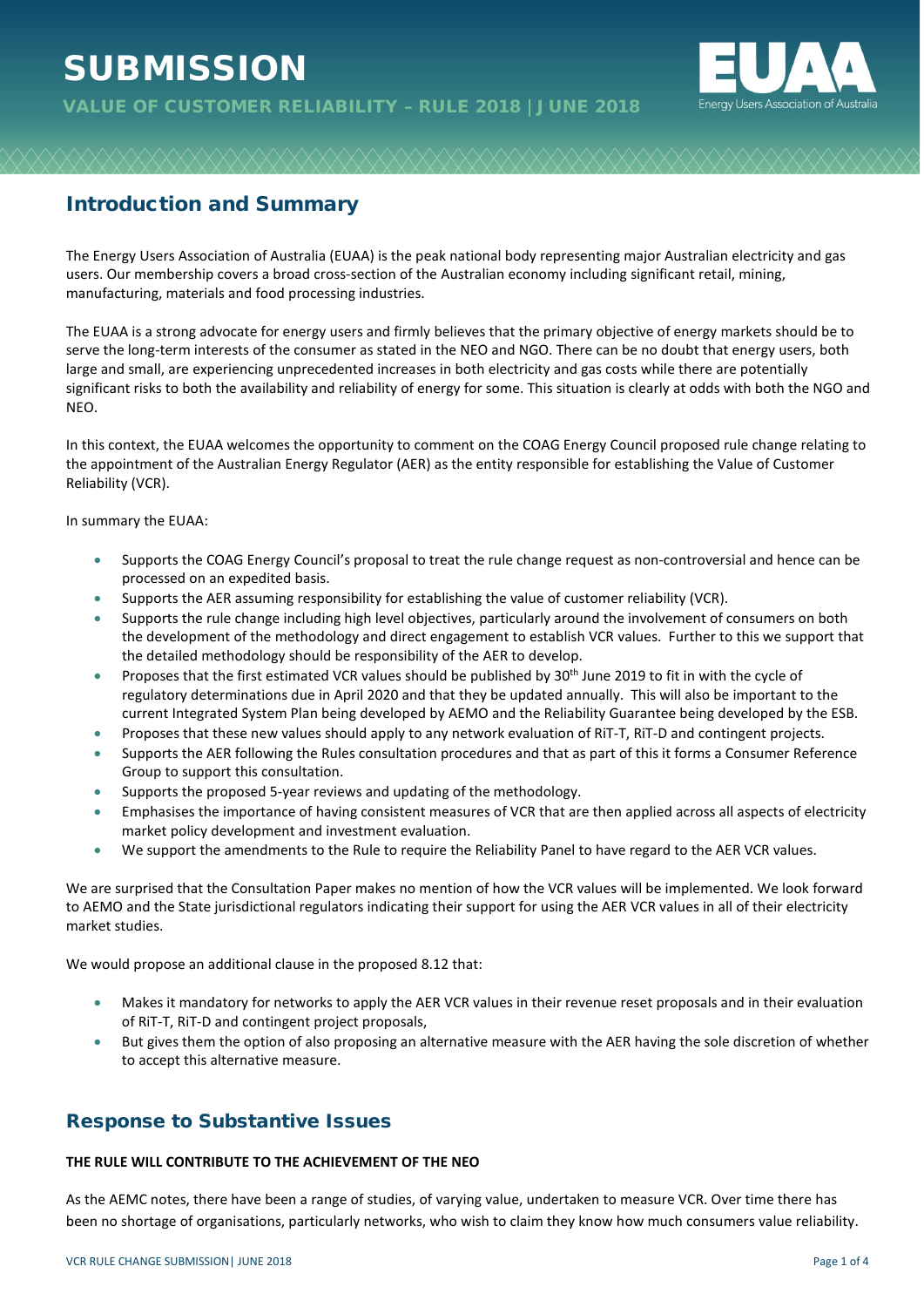# **SUBMISSION**



# Introduction and Summary

The Energy Users Association of Australia (EUAA) is the peak national body representing major Australian electricity and gas users. Our membership covers a broad cross-section of the Australian economy including significant retail, mining, manufacturing, materials and food processing industries.

The EUAA is a strong advocate for energy users and firmly believes that the primary objective of energy markets should be to serve the long-term interests of the consumer as stated in the NEO and NGO. There can be no doubt that energy users, both large and small, are experiencing unprecedented increases in both electricity and gas costs while there are potentially significant risks to both the availability and reliability of energy for some. This situation is clearly at odds with both the NGO and NEO.

In this context, the EUAA welcomes the opportunity to comment on the COAG Energy Council proposed rule change relating to the appointment of the Australian Energy Regulator (AER) as the entity responsible for establishing the Value of Customer Reliability (VCR).

In summary the EUAA:

- Supports the COAG Energy Council's proposal to treat the rule change request as non-controversial and hence can be processed on an expedited basis.
- Supports the AER assuming responsibility for establishing the value of customer reliability (VCR).
- Supports the rule change including high level objectives, particularly around the involvement of consumers on both the development of the methodology and direct engagement to establish VCR values. Further to this we support that the detailed methodology should be responsibility of the AER to develop.
- Proposes that the first estimated VCR values should be published by  $30<sup>th</sup>$  June 2019 to fit in with the cycle of regulatory determinations due in April 2020 and that they be updated annually. This will also be important to the current Integrated System Plan being developed by AEMO and the Reliability Guarantee being developed by the ESB.
- Proposes that these new values should apply to any network evaluation of RiT-T, RiT-D and contingent projects.
- Supports the AER following the Rules consultation procedures and that as part of this it forms a Consumer Reference Group to support this consultation.
- Supports the proposed 5-year reviews and updating of the methodology.
- Emphasises the importance of having consistent measures of VCR that are then applied across all aspects of electricity market policy development and investment evaluation.
- We support the amendments to the Rule to require the Reliability Panel to have regard to the AER VCR values.

We are surprised that the Consultation Paper makes no mention of how the VCR values will be implemented. We look forward to AEMO and the State jurisdictional regulators indicating their support for using the AER VCR values in all of their electricity market studies.

We would propose an additional clause in the proposed 8.12 that:

- Makes it mandatory for networks to apply the AER VCR values in their revenue reset proposals and in their evaluation of RiT-T, RiT-D and contingent project proposals,
- But gives them the option of also proposing an alternative measure with the AER having the sole discretion of whether to accept this alternative measure.

## Response to Substantive Issues

## **THE RULE WILL CONTRIBUTE TO THE ACHIEVEMENT OF THE NEO**

As the AEMC notes, there have been a range of studies, of varying value, undertaken to measure VCR. Over time there has been no shortage of organisations, particularly networks, who wish to claim they know how much consumers value reliability.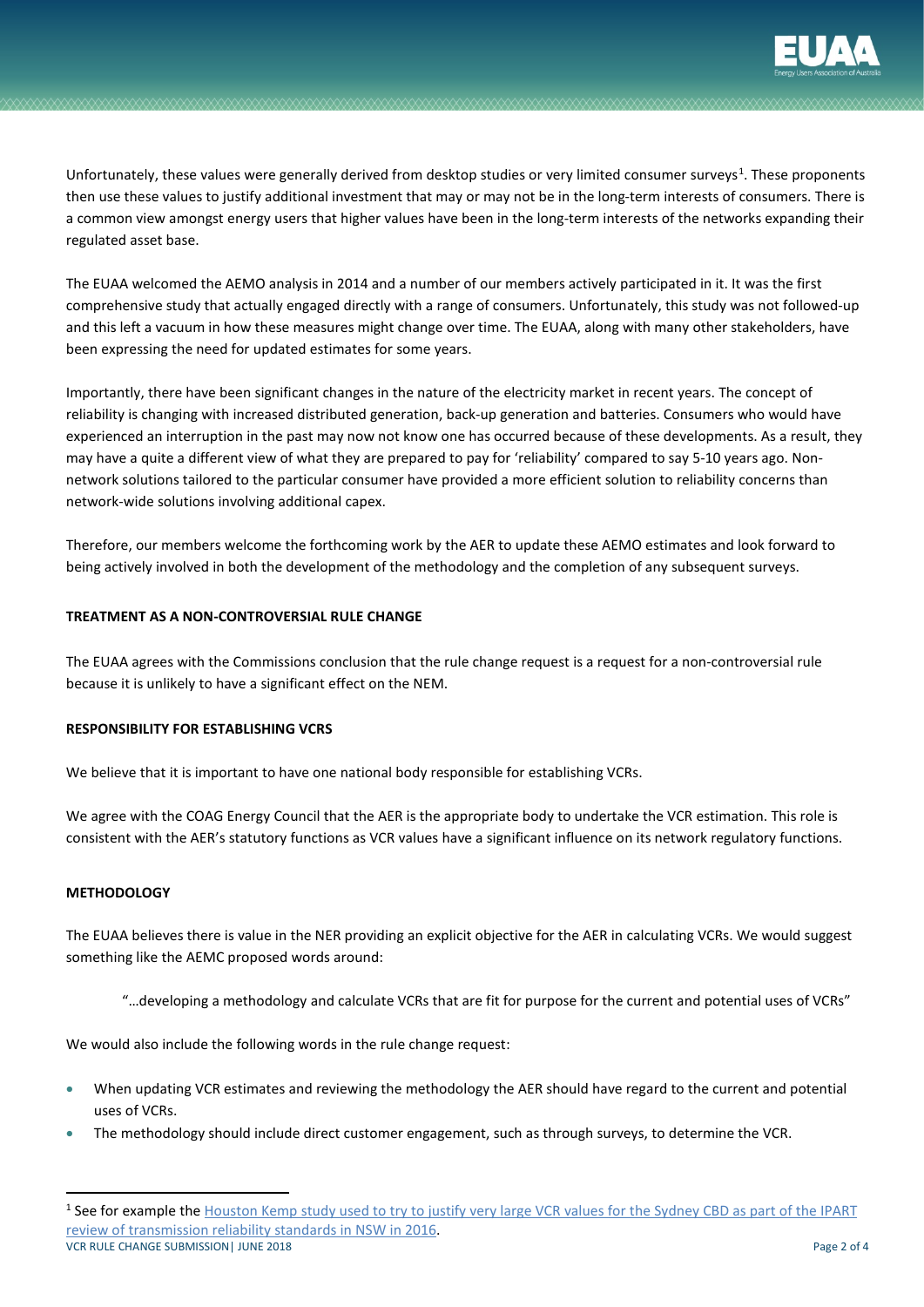

Unfortunately, these values were generally derived from desktop studies or very limited consumer surveys<sup>[1](#page-1-0)</sup>. These proponents then use these values to justify additional investment that may or may not be in the long-term interests of consumers. There is a common view amongst energy users that higher values have been in the long-term interests of the networks expanding their regulated asset base.

The EUAA welcomed the AEMO analysis in 2014 and a number of our members actively participated in it. It was the first comprehensive study that actually engaged directly with a range of consumers. Unfortunately, this study was not followed-up and this left a vacuum in how these measures might change over time. The EUAA, along with many other stakeholders, have been expressing the need for updated estimates for some years.

Importantly, there have been significant changes in the nature of the electricity market in recent years. The concept of reliability is changing with increased distributed generation, back-up generation and batteries. Consumers who would have experienced an interruption in the past may now not know one has occurred because of these developments. As a result, they may have a quite a different view of what they are prepared to pay for 'reliability' compared to say 5-10 years ago. Nonnetwork solutions tailored to the particular consumer have provided a more efficient solution to reliability concerns than network-wide solutions involving additional capex.

Therefore, our members welcome the forthcoming work by the AER to update these AEMO estimates and look forward to being actively involved in both the development of the methodology and the completion of any subsequent surveys.

### **TREATMENT AS A NON-CONTROVERSIAL RULE CHANGE**

The EUAA agrees with the Commissions conclusion that the rule change request is a request for a non-controversial rule because it is unlikely to have a significant effect on the NEM.

## **RESPONSIBILITY FOR ESTABLISHING VCRS**

We believe that it is important to have one national body responsible for establishing VCRs.

We agree with the COAG Energy Council that the AER is the appropriate body to undertake the VCR estimation. This role is consistent with the AER's statutory functions as VCR values have a significant influence on its network regulatory functions.

#### **METHODOLOGY**

The EUAA believes there is value in the NER providing an explicit objective for the AER in calculating VCRs. We would suggest something like the AEMC proposed words around:

"…developing a methodology and calculate VCRs that are fit for purpose for the current and potential uses of VCRs"

We would also include the following words in the rule change request:

- When updating VCR estimates and reviewing the methodology the AER should have regard to the current and potential uses of VCRs.
- The methodology should include direct customer engagement, such as through surveys, to determine the VCR.

<span id="page-1-0"></span>VCR RULE CHANGE SUBMISSION | JUNE 2018 Page 2 of 4 <sup>1</sup> See for example the **Houston Kemp study used to try to justify** very large VCR values for the Sydney CBD as part of the IPART [review of transmission reliability standards in NSW in 2016.](https://bit.ly/2sAuoWP)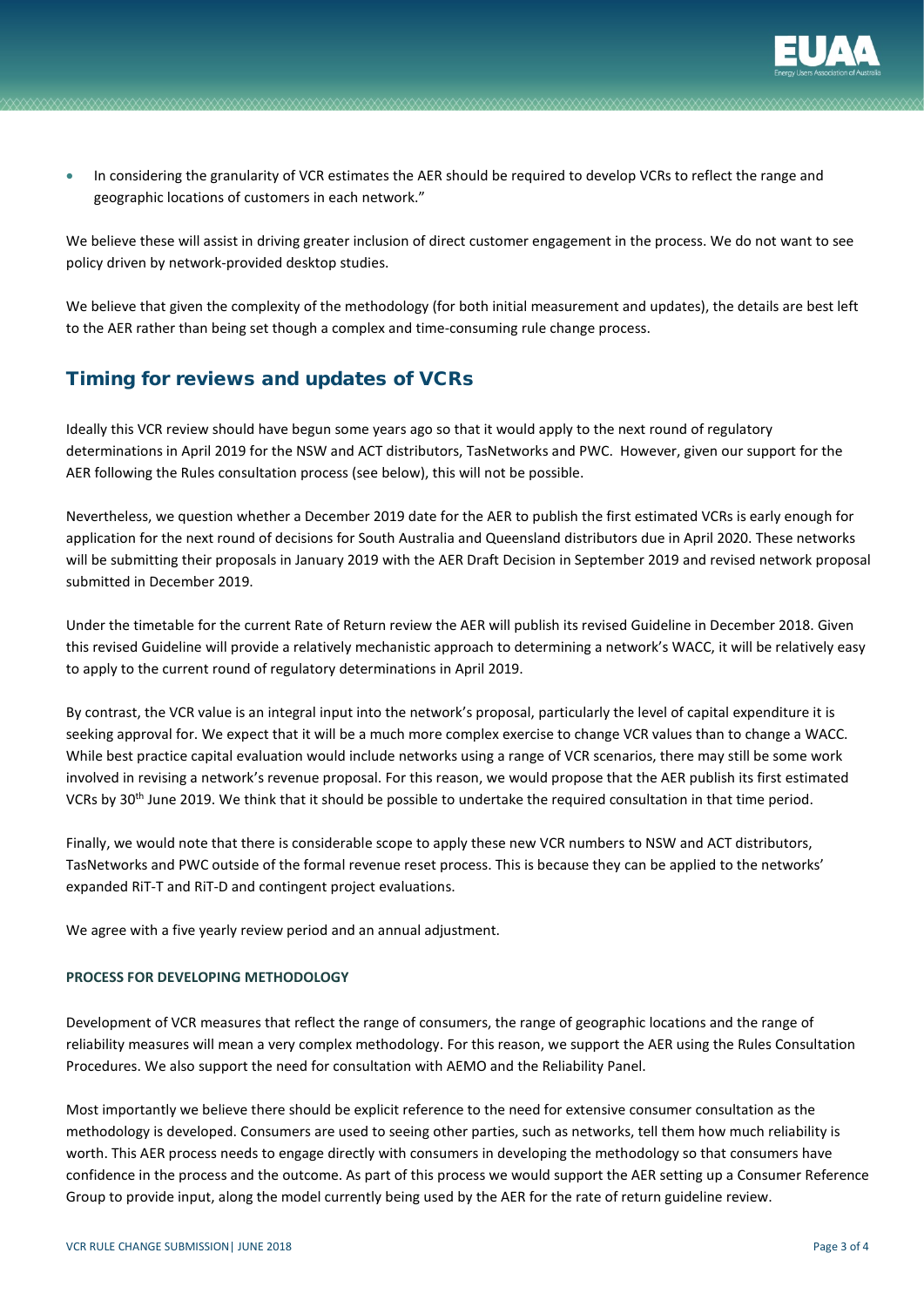

• In considering the granularity of VCR estimates the AER should be required to develop VCRs to reflect the range and geographic locations of customers in each network."

We believe these will assist in driving greater inclusion of direct customer engagement in the process. We do not want to see policy driven by network-provided desktop studies.

We believe that given the complexity of the methodology (for both initial measurement and updates), the details are best left to the AER rather than being set though a complex and time-consuming rule change process.

# Timing for reviews and updates of VCRs

Ideally this VCR review should have begun some years ago so that it would apply to the next round of regulatory determinations in April 2019 for the NSW and ACT distributors, TasNetworks and PWC. However, given our support for the AER following the Rules consultation process (see below), this will not be possible.

Nevertheless, we question whether a December 2019 date for the AER to publish the first estimated VCRs is early enough for application for the next round of decisions for South Australia and Queensland distributors due in April 2020. These networks will be submitting their proposals in January 2019 with the AER Draft Decision in September 2019 and revised network proposal submitted in December 2019.

Under the timetable for the current Rate of Return review the AER will publish its revised Guideline in December 2018. Given this revised Guideline will provide a relatively mechanistic approach to determining a network's WACC, it will be relatively easy to apply to the current round of regulatory determinations in April 2019.

By contrast, the VCR value is an integral input into the network's proposal, particularly the level of capital expenditure it is seeking approval for. We expect that it will be a much more complex exercise to change VCR values than to change a WACC. While best practice capital evaluation would include networks using a range of VCR scenarios, there may still be some work involved in revising a network's revenue proposal. For this reason, we would propose that the AER publish its first estimated VCRs by 30<sup>th</sup> June 2019. We think that it should be possible to undertake the required consultation in that time period.

Finally, we would note that there is considerable scope to apply these new VCR numbers to NSW and ACT distributors, TasNetworks and PWC outside of the formal revenue reset process. This is because they can be applied to the networks' expanded RiT-T and RiT-D and contingent project evaluations.

We agree with a five yearly review period and an annual adjustment.

## **PROCESS FOR DEVELOPING METHODOLOGY**

Development of VCR measures that reflect the range of consumers, the range of geographic locations and the range of reliability measures will mean a very complex methodology. For this reason, we support the AER using the Rules Consultation Procedures. We also support the need for consultation with AEMO and the Reliability Panel.

Most importantly we believe there should be explicit reference to the need for extensive consumer consultation as the methodology is developed. Consumers are used to seeing other parties, such as networks, tell them how much reliability is worth. This AER process needs to engage directly with consumers in developing the methodology so that consumers have confidence in the process and the outcome. As part of this process we would support the AER setting up a Consumer Reference Group to provide input, along the model currently being used by the AER for the rate of return guideline review.